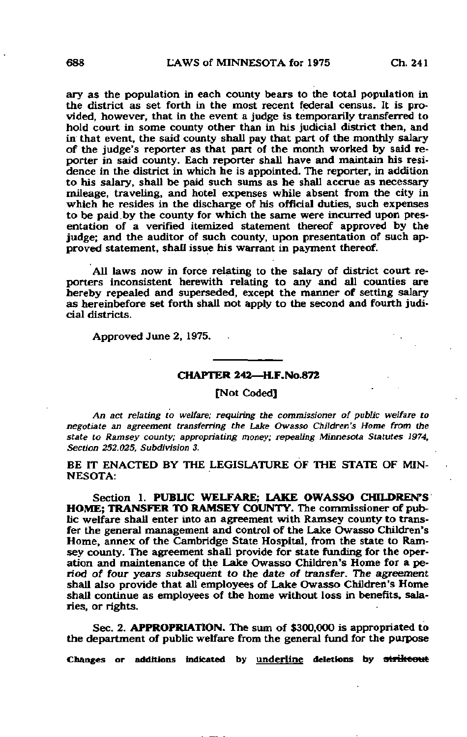ary as the population in each county bears to the total population in the district as set forth in the most recent federal census. It is provided, however, that in the event a judge is temporarily transferred to hold court in some county other than in his judicial district then, and in that event, the said county shall pay that part of the monthly salary of the judge's reporter as that part of the month worked by said reporter in said county. Each reporter shall have and maintain his residence in the district in which he is appointed. The reporter, in addition to his salary, shall be paid such sums as he shall accrue as necessary mileage, traveling, and hotel expenses while absent from the city in which he resides in the discharge of his official duties, such expenses to be paid by the county for which the same were incurred upon presentation of a verified itemized statement thereof approved by the judge; and the auditor of such county, upon presentation of such approved statement, shall issue his warrant in payment thereof.

All laws now in force relating to the salary of district court reporters inconsistent herewith relating to any and all counties are hereby repealed and superseded, except the manner of setting salary as hereinbefore set forth shall not apply to the second and fourth judicial districts.

Approved June 2, 1975.

## CHAPTER 242—H.F.No.872

[Not Coded]

An act relating to welfare; requiring the commissioner of public welfare to negotiate an agreement transferring the Lake Owasso Children's Home from the state to Ramsey county; appropriating money; repealing Minnesota Statutes 1974, Section 252.025, Subdivision 3.

BE IT ENACTED BY THE LEGISLATURE OF THE STATE OF MIN-NESOTA:

Section 1. PUBLIC WELFARE; LAKE OWASSO CHILDREN'S HOME; TRANSFER TO RAMSEY COUNTY. The commissioner of public welfare shall enter into an agreement with Ramsey county to transfer the general management and control of the Lake Owasso Children's Home, annex of the Cambridge State Hospital, from the state to Ramsey county. The agreement shall provide for state funding for the operation and maintenance of the Lake Owasso Children's Home for a period of four years subsequent to the date of transfer. The agreement shall also provide that all employees of Lake Owasso Children's Home shall continue as employees of the home without loss in benefits, salaries, or rights.

Sec. 2. APPROPRIATION. The sum of \$300,000 is appropriated to the department of public welfare from the general fund for the purpose

Changes or additions indicated by underline deletions by strikeout